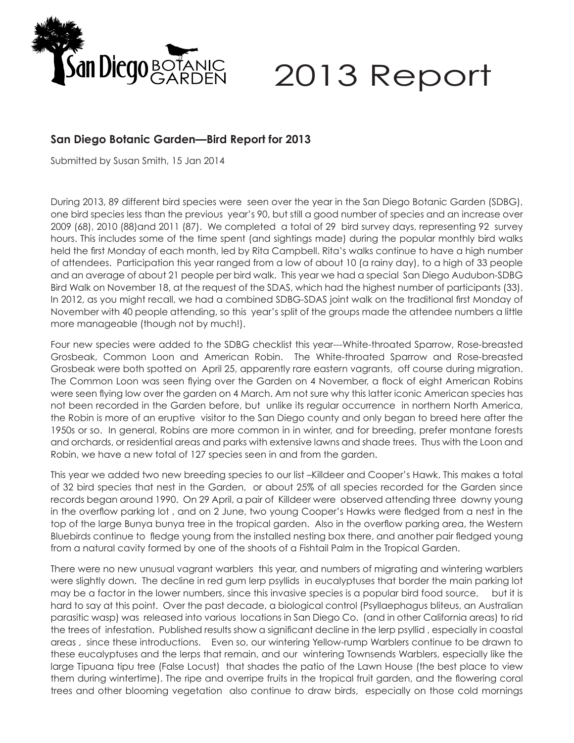

## 2013 Report

## **San Diego Botanic Garden—Bird Report for 2013**

Submitted by Susan Smith, 15 Jan 2014

During 2013, 89 different bird species were seen over the year in the San Diego Botanic Garden (SDBG), one bird species less than the previous year's 90, but still a good number of species and an increase over 2009 (68), 2010 (88)and 2011 (87). We completed a total of 29 bird survey days, representing 92 survey hours. This includes some of the time spent (and sightings made) during the popular monthly bird walks held the first Monday of each month, led by Rita Campbell. Rita's walks continue to have a high number of attendees. Participation this year ranged from a low of about 10 (a rainy day), to a high of 33 people and an average of about 21 people per bird walk. This year we had a special San Diego Audubon-SDBG Bird Walk on November 18, at the request of the SDAS, which had the highest number of participants (33). In 2012, as you might recall, we had a combined SDBG-SDAS joint walk on the traditional first Monday of November with 40 people attending, so this year's split of the groups made the attendee numbers a little more manageable (though not by much!).

Four new species were added to the SDBG checklist this year---White-throated Sparrow, Rose-breasted Grosbeak, Common Loon and American Robin. The White-throated Sparrow and Rose-breasted Grosbeak were both spotted on April 25, apparently rare eastern vagrants, off course during migration. The Common Loon was seen flying over the Garden on 4 November, a flock of eight American Robins were seen flying low over the garden on 4 March. Am not sure why this latter iconic American species has not been recorded in the Garden before, but unlike its regular occurrence in northern North America, the Robin is more of an eruptive visitor to the San Diego county and only began to breed here after the 1950s or so. In general, Robins are more common in in winter, and for breeding, prefer montane forests and orchards, or residential areas and parks with extensive lawns and shade trees. Thus with the Loon and Robin, we have a new total of 127 species seen in and from the garden.

This year we added two new breeding species to our list –Killdeer and Cooper's Hawk. This makes a total of 32 bird species that nest in the Garden, or about 25% of all species recorded for the Garden since records began around 1990. On 29 April, a pair of Killdeer were observed attending three downy young in the overflow parking lot , and on 2 June, two young Cooper's Hawks were fledged from a nest in the top of the large Bunya bunya tree in the tropical garden. Also in the overflow parking area, the Western Bluebirds continue to fledge young from the installed nesting box there, and another pair fledged young from a natural cavity formed by one of the shoots of a Fishtail Palm in the Tropical Garden.

There were no new unusual vagrant warblers this year, and numbers of migrating and wintering warblers were slightly down. The decline in red gum lerp psyllids in eucalyptuses that border the main parking lot may be a factor in the lower numbers, since this invasive species is a popular bird food source, but it is hard to say at this point. Over the past decade, a biological control (Psyllaephagus bliteus, an Australian parasitic wasp) was released into various locations in San Diego Co. (and in other California areas) to rid the trees of infestation. Published results show a significant decline in the lerp psyllid , especially in coastal areas , since these introductions. Even so, our wintering Yellow-rump Warblers continue to be drawn to these eucalyptuses and the lerps that remain, and our wintering Townsends Warblers, especially like the large Tipuana tipu tree (False Locust) that shades the patio of the Lawn House (the best place to view them during wintertime). The ripe and overripe fruits in the tropical fruit garden, and the flowering coral trees and other blooming vegetation also continue to draw birds, especially on those cold mornings